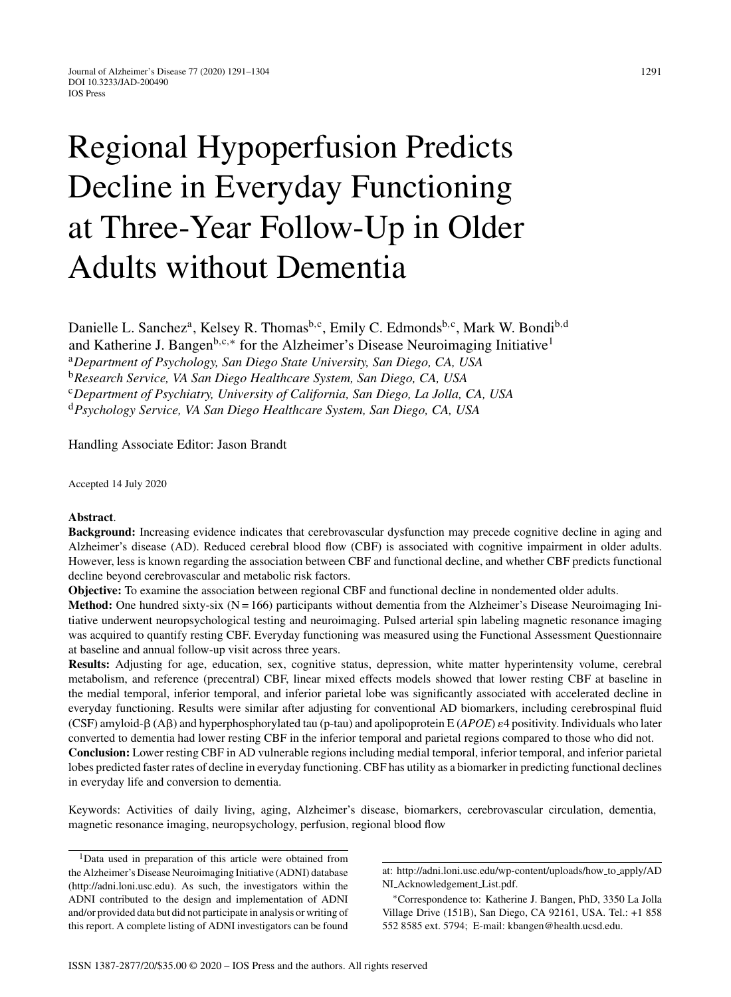# Regional Hypoperfusion Predicts Decline in Everyday Functioning at Three-Year Follow-Up in Older Adults without Dementia

Danielle L. Sanchez<sup>a</sup>, Kelsey R. Thomas<sup>b,c</sup>, Emily C. Edmonds<sup>b,c</sup>, Mark W. Bondi<sup>b,d</sup>

and Katherine J. Bangen<sup>b,c,\*</sup> for the Alzheimer's Disease Neuroimaging Initiative<sup>1</sup>

<sup>a</sup>*Department of Psychology, San Diego State University, San Diego, CA, USA*

<sup>b</sup>*Research Service, VA San Diego Healthcare System, San Diego, CA, USA*

<sup>c</sup>*Department of Psychiatry, University of California, San Diego, La Jolla, CA, USA*

<sup>d</sup>*Psychology Service, VA San Diego Healthcare System, San Diego, CA, USA*

Handling Associate Editor: Jason Brandt

Accepted 14 July 2020

# **Abstract**.

**Background:** Increasing evidence indicates that cerebrovascular dysfunction may precede cognitive decline in aging and Alzheimer's disease (AD). Reduced cerebral blood flow (CBF) is associated with cognitive impairment in older adults. However, less is known regarding the association between CBF and functional decline, and whether CBF predicts functional decline beyond cerebrovascular and metabolic risk factors.

**Objective:** To examine the association between regional CBF and functional decline in nondemented older adults.

**Method:** One hundred sixty-six  $(N = 166)$  participants without dementia from the Alzheimer's Disease Neuroimaging Initiative underwent neuropsychological testing and neuroimaging. Pulsed arterial spin labeling magnetic resonance imaging was acquired to quantify resting CBF. Everyday functioning was measured using the Functional Assessment Questionnaire at baseline and annual follow-up visit across three years.

**Results:** Adjusting for age, education, sex, cognitive status, depression, white matter hyperintensity volume, cerebral metabolism, and reference (precentral) CBF, linear mixed effects models showed that lower resting CBF at baseline in the medial temporal, inferior temporal, and inferior parietal lobe was significantly associated with accelerated decline in everyday functioning. Results were similar after adjusting for conventional AD biomarkers, including cerebrospinal fluid  $(CSF)$  amyloid- $\beta$  (A $\beta$ ) and hyperphosphorylated tau (p-tau) and apolipoprotein E (*APOE*)  $\varepsilon$ 4 positivity. Individuals who later converted to dementia had lower resting CBF in the inferior temporal and parietal regions compared to those who did not.

**Conclusion:** Lower resting CBF in AD vulnerable regions including medial temporal, inferior temporal, and inferior parietal lobes predicted faster rates of decline in everyday functioning. CBF has utility as a biomarker in predicting functional declines in everyday life and conversion to dementia.

Keywords: Activities of daily living, aging, Alzheimer's disease, biomarkers, cerebrovascular circulation, dementia, magnetic resonance imaging, neuropsychology, perfusion, regional blood flow

1Data used in preparation of this article were obtained from the Alzheimer's Disease Neuroimaging Initiative (ADNI) database ([http://adni.loni.usc.edu\)](http://adni.loni.usc.edu). As such, the investigators within the ADNI contributed to the design and implementation of ADNI and/or provided data but did not participate in analysis or writing of this report. A complete listing of ADNI investigators can be found

at: [http://adni.loni.usc.edu/wp-content/uploads/how](http://adni.loni.usc.edu/wp-content/uploads/how_to_apply/ADNI_Acknowledgement_List.pdf) to apply/AD NI [Acknowledgement](http://adni.loni.usc.edu/wp-content/uploads/how_to_apply/ADNI_Acknowledgement_List.pdf) List.pdf.

∗Correspondence to: Katherine J. Bangen, PhD, 3350 La Jolla Village Drive (151B), San Diego, CA 92161, USA. Tel.: +1 858 552 8585 ext. 5794; E-mail: [kbangen@health.ucsd.edu](mailto:kbangen@health.ucsd.edu).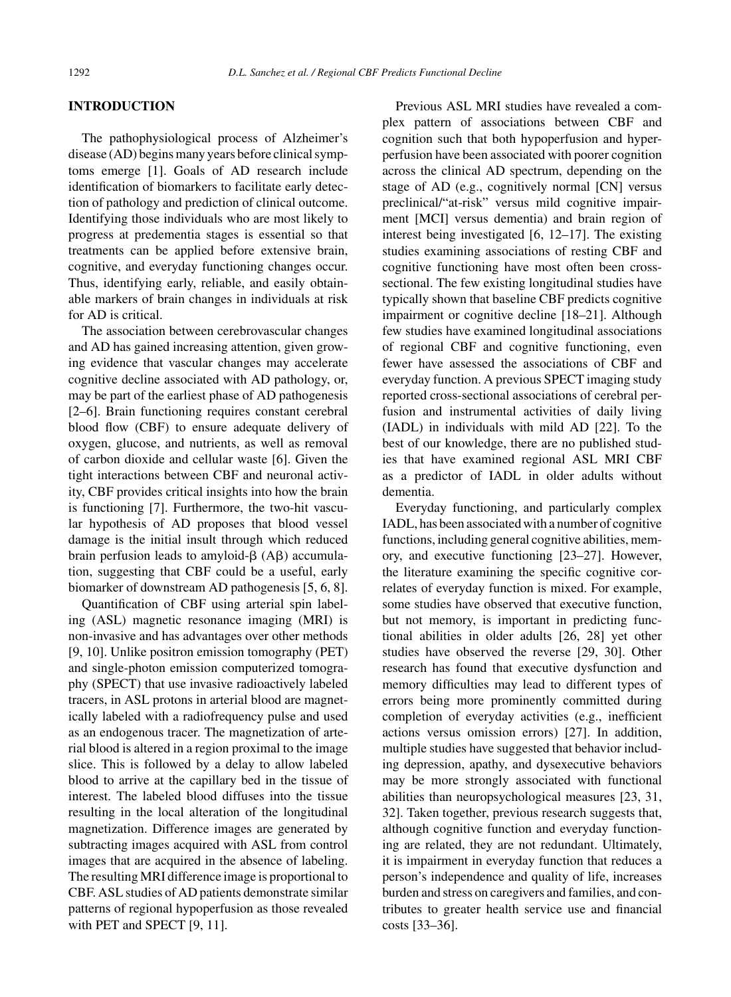# **INTRODUCTION**

The pathophysiological process of Alzheimer's disease (AD) begins many years before clinical symptoms emerge [1]. Goals of AD research include identification of biomarkers to facilitate early detection of pathology and prediction of clinical outcome. Identifying those individuals who are most likely to progress at predementia stages is essential so that treatments can be applied before extensive brain, cognitive, and everyday functioning changes occur. Thus, identifying early, reliable, and easily obtainable markers of brain changes in individuals at risk for AD is critical.

The association between cerebrovascular changes and AD has gained increasing attention, given growing evidence that vascular changes may accelerate cognitive decline associated with AD pathology, or, may be part of the earliest phase of AD pathogenesis [2–6]. Brain functioning requires constant cerebral blood flow (CBF) to ensure adequate delivery of oxygen, glucose, and nutrients, as well as removal of carbon dioxide and cellular waste [6]. Given the tight interactions between CBF and neuronal activity, CBF provides critical insights into how the brain is functioning [7]. Furthermore, the two-hit vascular hypothesis of AD proposes that blood vessel damage is the initial insult through which reduced brain perfusion leads to amyloid- $\beta$  (A $\beta$ ) accumulation, suggesting that CBF could be a useful, early biomarker of downstream AD pathogenesis [5, 6, 8].

Quantification of CBF using arterial spin labeling (ASL) magnetic resonance imaging (MRI) is non-invasive and has advantages over other methods [9, 10]. Unlike positron emission tomography (PET) and single-photon emission computerized tomography (SPECT) that use invasive radioactively labeled tracers, in ASL protons in arterial blood are magnetically labeled with a radiofrequency pulse and used as an endogenous tracer. The magnetization of arterial blood is altered in a region proximal to the image slice. This is followed by a delay to allow labeled blood to arrive at the capillary bed in the tissue of interest. The labeled blood diffuses into the tissue resulting in the local alteration of the longitudinal magnetization. Difference images are generated by subtracting images acquired with ASL from control images that are acquired in the absence of labeling. The resulting MRI difference image is proportional to CBF. ASL studies of AD patients demonstrate similar patterns of regional hypoperfusion as those revealed with PET and SPECT [9, 11].

Previous ASL MRI studies have revealed a complex pattern of associations between CBF and cognition such that both hypoperfusion and hyperperfusion have been associated with poorer cognition across the clinical AD spectrum, depending on the stage of AD (e.g., cognitively normal [CN] versus preclinical/"at-risk" versus mild cognitive impairment [MCI] versus dementia) and brain region of interest being investigated [6, 12–17]. The existing studies examining associations of resting CBF and cognitive functioning have most often been crosssectional. The few existing longitudinal studies have typically shown that baseline CBF predicts cognitive impairment or cognitive decline [18–21]. Although few studies have examined longitudinal associations of regional CBF and cognitive functioning, even fewer have assessed the associations of CBF and everyday function. A previous SPECT imaging study reported cross-sectional associations of cerebral perfusion and instrumental activities of daily living (IADL) in individuals with mild AD [22]. To the best of our knowledge, there are no published studies that have examined regional ASL MRI CBF as a predictor of IADL in older adults without dementia.

Everyday functioning, and particularly complex IADL, has been associated with a number of cognitive functions, including general cognitive abilities, memory, and executive functioning [23–27]. However, the literature examining the specific cognitive correlates of everyday function is mixed. For example, some studies have observed that executive function, but not memory, is important in predicting functional abilities in older adults [26, 28] yet other studies have observed the reverse [29, 30]. Other research has found that executive dysfunction and memory difficulties may lead to different types of errors being more prominently committed during completion of everyday activities (e.g., inefficient actions versus omission errors) [27]. In addition, multiple studies have suggested that behavior including depression, apathy, and dysexecutive behaviors may be more strongly associated with functional abilities than neuropsychological measures [23, 31, 32]. Taken together, previous research suggests that, although cognitive function and everyday functioning are related, they are not redundant. Ultimately, it is impairment in everyday function that reduces a person's independence and quality of life, increases burden and stress on caregivers and families, and contributes to greater health service use and financial costs [33–36].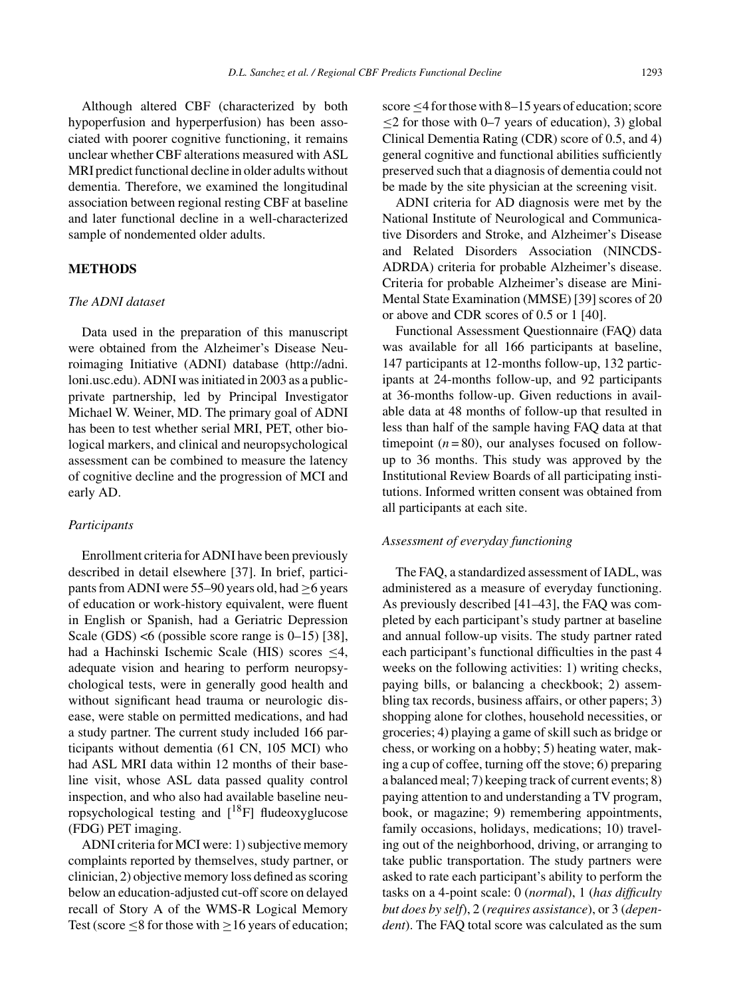Although altered CBF (characterized by both hypoperfusion and hyperperfusion) has been associated with poorer cognitive functioning, it remains unclear whether CBF alterations measured with ASL MRI predict functional decline in older adults without dementia. Therefore, we examined the longitudinal association between regional resting CBF at baseline and later functional decline in a well-characterized sample of nondemented older adults.

# **METHODS**

#### *The ADNI dataset*

Data used in the preparation of this manuscript were obtained from the Alzheimer's Disease Neuroimaging Initiative (ADNI) database ([http://adni.](http://adni.loni.usc.edu) loni.usc.edu). ADNI was initiated in 2003 as a publicprivate partnership, led by Principal Investigator Michael W. Weiner, MD. The primary goal of ADNI has been to test whether serial MRI, PET, other biological markers, and clinical and neuropsychological assessment can be combined to measure the latency of cognitive decline and the progression of MCI and early AD.

# *Participants*

Enrollment criteria for ADNI have been previously described in detail elsewhere [37]. In brief, participants from ADNI were 55–90 years old, had  $\geq$ 6 years of education or work-history equivalent, were fluent in English or Spanish, had a Geriatric Depression Scale (GDS) <6 (possible score range is 0–15) [38], had a Hachinski Ischemic Scale (HIS) scores ≤4, adequate vision and hearing to perform neuropsychological tests, were in generally good health and without significant head trauma or neurologic disease, were stable on permitted medications, and had a study partner. The current study included 166 participants without dementia (61 CN, 105 MCI) who had ASL MRI data within 12 months of their baseline visit, whose ASL data passed quality control inspection, and who also had available baseline neuropsychological testing and  $[$ <sup>18</sup>F] fludeoxyglucose (FDG) PET imaging.

ADNI criteria for MCI were: 1) subjective memory complaints reported by themselves, study partner, or clinician, 2) objective memory loss defined as scoring below an education-adjusted cut-off score on delayed recall of Story A of the WMS-R Logical Memory Test (score  $\leq$ 8 for those with  $\geq$ 16 years of education; score ≤4 for those with 8–15 years of education; score  $\leq$  2 for those with 0–7 years of education), 3) global Clinical Dementia Rating (CDR) score of 0.5, and 4) general cognitive and functional abilities sufficiently preserved such that a diagnosis of dementia could not be made by the site physician at the screening visit.

ADNI criteria for AD diagnosis were met by the National Institute of Neurological and Communicative Disorders and Stroke, and Alzheimer's Disease and Related Disorders Association (NINCDS-ADRDA) criteria for probable Alzheimer's disease. Criteria for probable Alzheimer's disease are Mini-Mental State Examination (MMSE) [39] scores of 20 or above and CDR scores of 0.5 or 1 [40].

Functional Assessment Questionnaire (FAQ) data was available for all 166 participants at baseline, 147 participants at 12-months follow-up, 132 participants at 24-months follow-up, and 92 participants at 36-months follow-up. Given reductions in available data at 48 months of follow-up that resulted in less than half of the sample having FAQ data at that timepoint  $(n=80)$ , our analyses focused on followup to 36 months. This study was approved by the Institutional Review Boards of all participating institutions. Informed written consent was obtained from all participants at each site.

#### *Assessment of everyday functioning*

The FAQ, a standardized assessment of IADL, was administered as a measure of everyday functioning. As previously described [41–43], the FAQ was completed by each participant's study partner at baseline and annual follow-up visits. The study partner rated each participant's functional difficulties in the past 4 weeks on the following activities: 1) writing checks, paying bills, or balancing a checkbook; 2) assembling tax records, business affairs, or other papers; 3) shopping alone for clothes, household necessities, or groceries; 4) playing a game of skill such as bridge or chess, or working on a hobby; 5) heating water, making a cup of coffee, turning off the stove; 6) preparing a balanced meal; 7) keeping track of current events; 8) paying attention to and understanding a TV program, book, or magazine; 9) remembering appointments, family occasions, holidays, medications; 10) traveling out of the neighborhood, driving, or arranging to take public transportation. The study partners were asked to rate each participant's ability to perform the tasks on a 4-point scale: 0 (*normal*), 1 (*has difficulty but does by self*), 2 (*requires assistance*), or 3 (*dependent*). The FAQ total score was calculated as the sum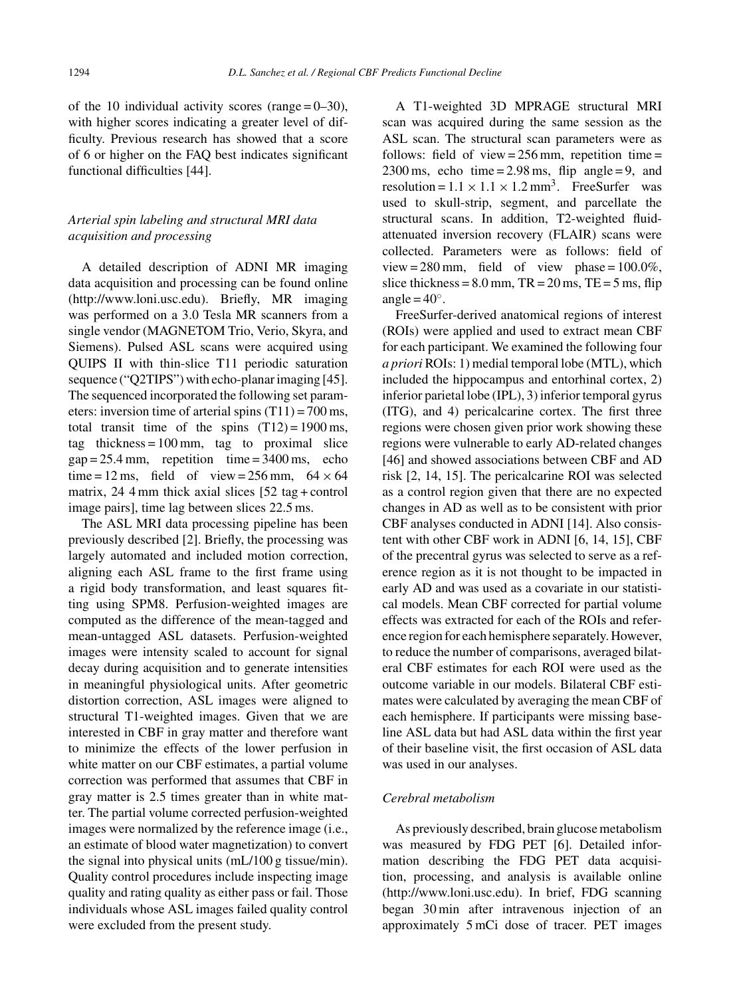of the 10 individual activity scores (range  $= 0-30$ ), with higher scores indicating a greater level of difficulty. Previous research has showed that a score of 6 or higher on the FAQ best indicates significant functional difficulties [44].

# *Arterial spin labeling and structural MRI data acquisition and processing*

A detailed description of ADNI MR imaging data acquisition and processing can be found online [\(http://www.loni.usc.edu\)](http://www.loni.usc.edu). Briefly, MR imaging was performed on a 3.0 Tesla MR scanners from a single vendor (MAGNETOM Trio, Verio, Skyra, and Siemens). Pulsed ASL scans were acquired using QUIPS II with thin-slice T11 periodic saturation sequence ("Q2TIPS") with echo-planar imaging [45]. The sequenced incorporated the following set parameters: inversion time of arterial spins  $(T11) = 700$  ms, total transit time of the spins  $(T12) = 1900$  ms, tag thickness =  $100 \text{ mm}$ , tag to proximal slice  $gap = 25.4$  mm, repetition time = 3400 ms, echo time = 12 ms, field of view =  $256$  mm,  $64 \times 64$ matrix, 24 4 mm thick axial slices [52 tag + control image pairs], time lag between slices 22.5 ms.

The ASL MRI data processing pipeline has been previously described [2]. Briefly, the processing was largely automated and included motion correction, aligning each ASL frame to the first frame using a rigid body transformation, and least squares fitting using SPM8. Perfusion-weighted images are computed as the difference of the mean-tagged and mean-untagged ASL datasets. Perfusion-weighted images were intensity scaled to account for signal decay during acquisition and to generate intensities in meaningful physiological units. After geometric distortion correction, ASL images were aligned to structural T1-weighted images. Given that we are interested in CBF in gray matter and therefore want to minimize the effects of the lower perfusion in white matter on our CBF estimates, a partial volume correction was performed that assumes that CBF in gray matter is 2.5 times greater than in white matter. The partial volume corrected perfusion-weighted images were normalized by the reference image (i.e., an estimate of blood water magnetization) to convert the signal into physical units (mL/100 g tissue/min). Quality control procedures include inspecting image quality and rating quality as either pass or fail. Those individuals whose ASL images failed quality control were excluded from the present study.

A T1-weighted 3D MPRAGE structural MRI scan was acquired during the same session as the ASL scan. The structural scan parameters were as follows: field of view =  $256$  mm, repetition time =  $2300 \text{ ms}$ , echo time = 2.98 ms, flip angle = 9, and resolution =  $1.1 \times 1.1 \times 1.2$  mm<sup>3</sup>. FreeSurfer was used to skull-strip, segment, and parcellate the structural scans. In addition, T2-weighted fluidattenuated inversion recovery (FLAIR) scans were collected. Parameters were as follows: field of view =  $280 \text{ mm}$ , field of view phase =  $100.0\%$ , slice thickness =  $8.0$  mm, TR =  $20$  ms, TE =  $5$  ms, flip angle =  $40^\circ$ .

FreeSurfer-derived anatomical regions of interest (ROIs) were applied and used to extract mean CBF for each participant. We examined the following four *a priori* ROIs: 1) medial temporal lobe (MTL), which included the hippocampus and entorhinal cortex, 2) inferior parietal lobe (IPL), 3) inferior temporal gyrus (ITG), and 4) pericalcarine cortex. The first three regions were chosen given prior work showing these regions were vulnerable to early AD-related changes [46] and showed associations between CBF and AD risk [2, 14, 15]. The pericalcarine ROI was selected as a control region given that there are no expected changes in AD as well as to be consistent with prior CBF analyses conducted in ADNI [14]. Also consistent with other CBF work in ADNI [6, 14, 15], CBF of the precentral gyrus was selected to serve as a reference region as it is not thought to be impacted in early AD and was used as a covariate in our statistical models. Mean CBF corrected for partial volume effects was extracted for each of the ROIs and reference region for each hemisphere separately. However, to reduce the number of comparisons, averaged bilateral CBF estimates for each ROI were used as the outcome variable in our models. Bilateral CBF estimates were calculated by averaging the mean CBF of each hemisphere. If participants were missing baseline ASL data but had ASL data within the first year of their baseline visit, the first occasion of ASL data was used in our analyses.

# *Cerebral metabolism*

As previously described, brain glucose metabolism was measured by FDG PET [6]. Detailed information describing the FDG PET data acquisition, processing, and analysis is available online [\(http://www.loni.usc.edu\)](http://www.loni.usc.edu). In brief, FDG scanning began 30 min after intravenous injection of an approximately 5 mCi dose of tracer. PET images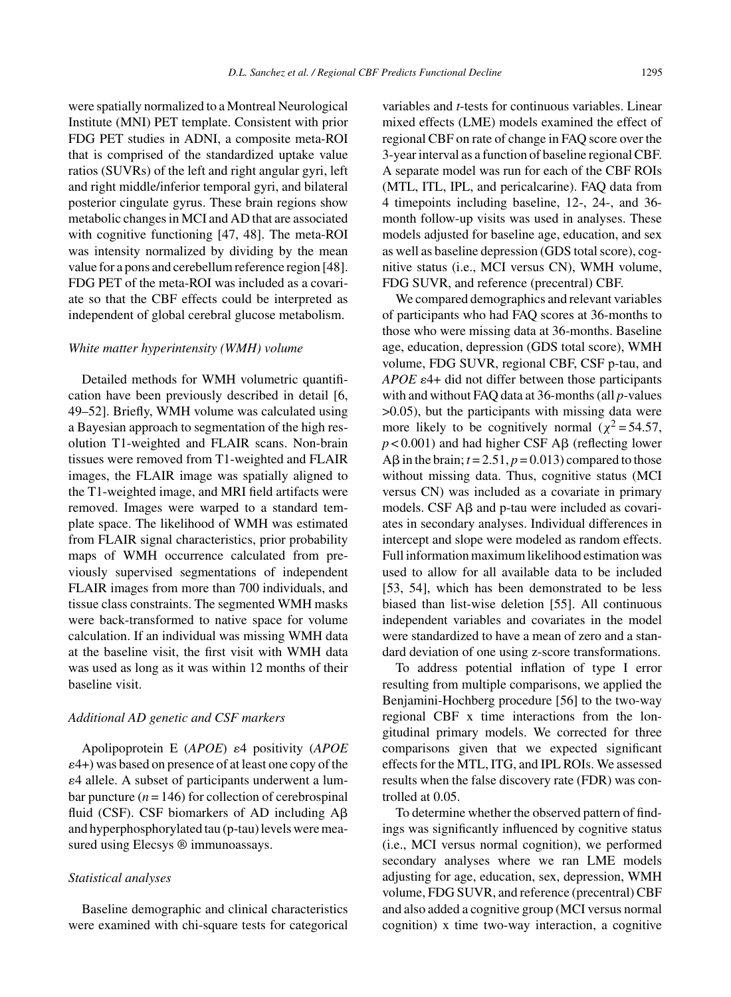were spatially normalized to a Montreal Neurological Institute (MNI) PET template. Consistent with prior FDG PET studies in ADNI, a composite meta-ROI that is comprised of the standardized uptake value ratios (SUVRs) of the left and right angular gyri, left and right middle/inferior temporal gyri, and bilateral posterior cingulate gyrus. These brain regions show metabolic changes in MCI and AD that are associated with cognitive functioning [47, 48]. The meta-ROI was intensity normalized by dividing by the mean value for a pons and cerebellum reference region [48]. FDG PET of the meta-ROI was included as a covariate so that the CBF effects could be interpreted as independent of global cerebral glucose metabolism.

## *White matter hyperintensity (WMH) volume*

Detailed methods for WMH volumetric quantification have been previously described in detail [6, 49–52]. Briefly, WMH volume was calculated using a Bayesian approach to segmentation of the high resolution T1-weighted and FLAIR scans. Non-brain tissues were removed from T1-weighted and FLAIR images, the FLAIR image was spatially aligned to the T1-weighted image, and MRI field artifacts were removed. Images were warped to a standard template space. The likelihood of WMH was estimated from FLAIR signal characteristics, prior probability maps of WMH occurrence calculated from previously supervised segmentations of independent FLAIR images from more than 700 individuals, and tissue class constraints. The segmented WMH masks were back-transformed to native space for volume calculation. If an individual was missing WMH data at the baseline visit, the first visit with WMH data was used as long as it was within 12 months of their baseline visit.

#### *Additional AD genetic and CSF markers*

Apolipoprotein E (*APOE*)  $\varepsilon$ 4 positivity (*APOE*) 4+) was based on presence of at least one copy of the 4 allele. A subset of participants underwent a lumbar puncture  $(n = 146)$  for collection of cerebrospinal fluid (CSF). CSF biomarkers of AD including  $A\beta$ and hyperphosphorylated tau (p-tau) levels were measured using Elecsys ® immunoassays.

# *Statistical analyses*

Baseline demographic and clinical characteristics were examined with chi-square tests for categorical

variables and *t*-tests for continuous variables. Linear mixed effects (LME) models examined the effect of regional CBF on rate of change in FAQ score over the 3-year interval as a function of baseline regional CBF. A separate model was run for each of the CBF ROIs (MTL, ITL, IPL, and pericalcarine). FAQ data from 4 timepoints including baseline, 12-, 24-, and 36 month follow-up visits was used in analyses. These models adjusted for baseline age, education, and sex as well as baseline depression (GDS total score), cognitive status (i.e., MCI versus CN), WMH volume, FDG SUVR, and reference (precentral) CBF.

We compared demographics and relevant variables of participants who had FAQ scores at 36-months to those who were missing data at 36-months. Baseline age, education, depression (GDS total score), WMH volume, FDG SUVR, regional CBF, CSF p-tau, and  $APOE$   $\varepsilon$ 4+ did not differ between those participants with and without FAQ data at 36-months (all *p*-values >0.05), but the participants with missing data were more likely to be cognitively normal ( $\chi^2$  = 54.57,  $p < 0.001$ ) and had higher CSF A $\beta$  (reflecting lower  $A\beta$  in the brain;  $t = 2.51$ ,  $p = 0.013$ ) compared to those without missing data. Thus, cognitive status (MCI versus CN) was included as a covariate in primary models. CSF  $\text{AB}$  and p-tau were included as covariates in secondary analyses. Individual differences in intercept and slope were modeled as random effects. Full information maximum likelihood estimation was used to allow for all available data to be included [53, 54], which has been demonstrated to be less biased than list-wise deletion [55]. All continuous independent variables and covariates in the model were standardized to have a mean of zero and a standard deviation of one using z-score transformations.

To address potential inflation of type I error resulting from multiple comparisons, we applied the Benjamini-Hochberg procedure [56] to the two-way regional CBF x time interactions from the longitudinal primary models. We corrected for three comparisons given that we expected significant effects for the MTL, ITG, and IPL ROIs. We assessed results when the false discovery rate (FDR) was controlled at 0.05.

To determine whether the observed pattern of findings was significantly influenced by cognitive status (i.e., MCI versus normal cognition), we performed secondary analyses where we ran LME models adjusting for age, education, sex, depression, WMH volume, FDG SUVR, and reference (precentral) CBF and also added a cognitive group (MCI versus normal cognition) x time two-way interaction, a cognitive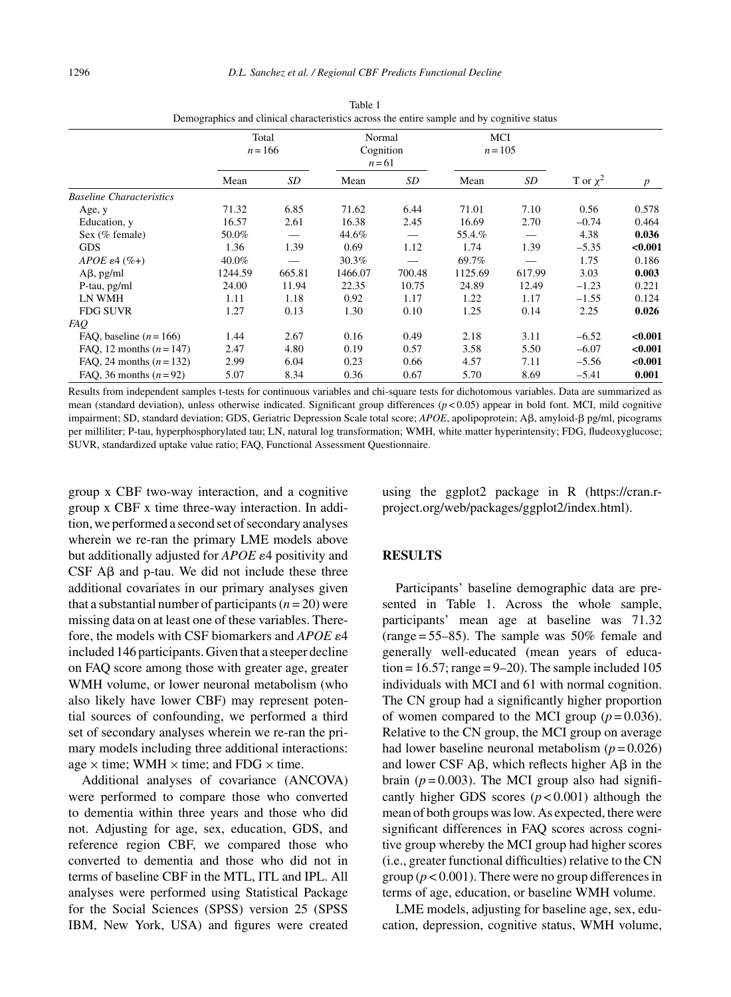|                                 | Total<br>$n = 166$ |        | Normal<br>Cognition<br>$n = 61$ |        | MCI<br>$n = 105$ |        |               |         |
|---------------------------------|--------------------|--------|---------------------------------|--------|------------------|--------|---------------|---------|
|                                 | Mean               | SD     | Mean                            | SD     | Mean             | SD     | T or $\chi^2$ | p       |
| <b>Baseline Characteristics</b> |                    |        |                                 |        |                  |        |               |         |
| Age, y                          | 71.32              | 6.85   | 71.62                           | 6.44   | 71.01            | 7.10   | 0.56          | 0.578   |
| Education, y                    | 16.57              | 2.61   | 16.38                           | 2.45   | 16.69            | 2.70   | $-0.74$       | 0.464   |
| Sex (% female)                  | 50.0%              |        | 44.6%                           |        | 55.4.%           |        | 4.38          | 0.036   |
| <b>GDS</b>                      | 1.36               | 1.39   | 0.69                            | 1.12   | 1.74             | 1.39   | $-5.35$       | < 0.001 |
| APOE $\varepsilon$ 4 (%+)       | 40.0%              |        | 30.3%                           |        | 69.7%            |        | 1.75          | 0.186   |
| $A\beta$ , pg/ml                | 1244.59            | 665.81 | 1466.07                         | 700.48 | 1125.69          | 617.99 | 3.03          | 0.003   |
| P-tau, pg/ml                    | 24.00              | 11.94  | 22.35                           | 10.75  | 24.89            | 12.49  | $-1.23$       | 0.221   |
| LN WMH                          | 1.11               | 1.18   | 0.92                            | 1.17   | 1.22             | 1.17   | $-1.55$       | 0.124   |
| <b>FDG SUVR</b>                 | 1.27               | 0.13   | 1.30                            | 0.10   | 1.25             | 0.14   | 2.25          | 0.026   |
| <i>FAO</i>                      |                    |        |                                 |        |                  |        |               |         |
| FAO, baseline $(n = 166)$       | 1.44               | 2.67   | 0.16                            | 0.49   | 2.18             | 3.11   | $-6.52$       | < 0.001 |
| FAO, 12 months $(n=147)$        | 2.47               | 4.80   | 0.19                            | 0.57   | 3.58             | 5.50   | $-6.07$       | < 0.001 |
| FAO, 24 months $(n=132)$        | 2.99               | 6.04   | 0.23                            | 0.66   | 4.57             | 7.11   | $-5.56$       | < 0.001 |
| FAO, 36 months $(n=92)$         | 5.07               | 8.34   | 0.36                            | 0.67   | 5.70             | 8.69   | $-5.41$       | 0.001   |

Table 1 Demographics and clinical characteristics across the entire sample and by cognitive status

Results from independent samples t-tests for continuous variables and chi-square tests for dichotomous variables. Data are summarized as mean (standard deviation), unless otherwise indicated. Significant group differences (*p* < 0.05) appear in bold font. MCI, mild cognitive impairment; SD, standard deviation; GDS, Geriatric Depression Scale total score; *APOE*, apolipoprotein; Aβ, amyloid-β pg/ml, picograms per milliliter; P-tau, hyperphosphorylated tau; LN, natural log transformation; WMH, white matter hyperintensity; FDG, fludeoxyglucose; SUVR, standardized uptake value ratio; FAQ, Functional Assessment Questionnaire.

group x CBF two-way interaction, and a cognitive group x CBF x time three-way interaction. In addition, we performed a second set of secondary analyses wherein we re-ran the primary LME models above but additionally adjusted for *APOE*  $\varepsilon$ 4 positivity and  $CSF$  A $\beta$  and p-tau. We did not include these three additional covariates in our primary analyses given that a substantial number of participants  $(n = 20)$  were missing data on at least one of these variables. Therefore, the models with CSF biomarkers and *APOE*  $\varepsilon$ 4 included 146 participants. Given that a steeper decline on FAQ score among those with greater age, greater WMH volume, or lower neuronal metabolism (who also likely have lower CBF) may represent potential sources of confounding, we performed a third set of secondary analyses wherein we re-ran the primary models including three additional interactions: age  $\times$  time; WMH  $\times$  time; and FDG  $\times$  time.

Additional analyses of covariance (ANCOVA) were performed to compare those who converted to dementia within three years and those who did not. Adjusting for age, sex, education, GDS, and reference region CBF, we compared those who converted to dementia and those who did not in terms of baseline CBF in the MTL, ITL and IPL. All analyses were performed using Statistical Package for the Social Sciences (SPSS) version 25 (SPSS IBM, New York, USA) and figures were created using the ggplot2 package in R [\(https://cran.r](https://cran.r-project.org/web/packages/ggplot2/index.html)project.org/web/packages/ggplot2/index.html).

# **RESULTS**

Participants' baseline demographic data are presented in Table 1. Across the whole sample, participants' mean age at baseline was 71.32 (range = 55–85). The sample was 50% female and generally well-educated (mean years of education =  $16.57$ ; range =  $9-20$ ). The sample included 105 individuals with MCI and 61 with normal cognition. The CN group had a significantly higher proportion of women compared to the MCI group  $(p=0.036)$ . Relative to the CN group, the MCI group on average had lower baseline neuronal metabolism  $(p=0.026)$ and lower CSF  $\text{A}\beta$ , which reflects higher  $\text{A}\beta$  in the brain ( $p = 0.003$ ). The MCI group also had significantly higher GDS scores  $(p < 0.001)$  although the mean of both groups was low. As expected, there were significant differences in FAQ scores across cognitive group whereby the MCI group had higher scores (i.e., greater functional difficulties) relative to the CN group ( $p < 0.001$ ). There were no group differences in terms of age, education, or baseline WMH volume.

LME models, adjusting for baseline age, sex, education, depression, cognitive status, WMH volume,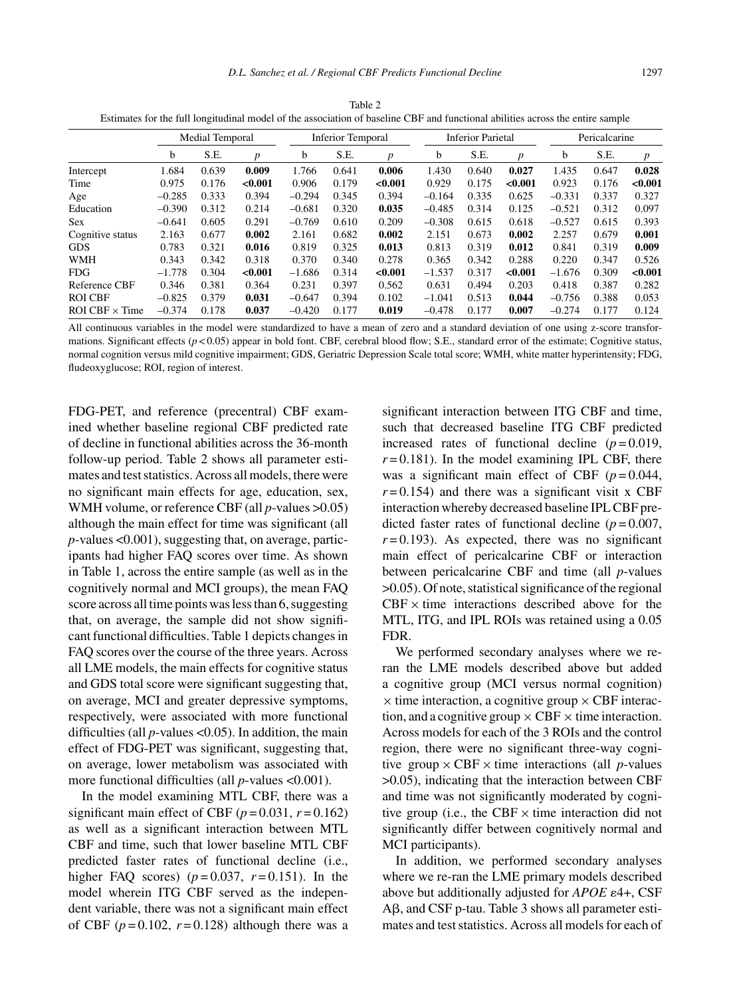|                       | Medial Temporal |       |         | Inferior Temporal |       |         | <b>Inferior Parietal</b> |       |         | Pericalcarine |       |         |
|-----------------------|-----------------|-------|---------|-------------------|-------|---------|--------------------------|-------|---------|---------------|-------|---------|
|                       | b               | S.E.  | p       | b                 | S.E.  | p       | b                        | S.E.  | p       | b             | S.E.  | p       |
| Intercept             | 1.684           | 0.639 | 0.009   | 1.766             | 0.641 | 0.006   | 1.430                    | 0.640 | 0.027   | 1.435         | 0.647 | 0.028   |
| Time                  | 0.975           | 0.176 | < 0.001 | 0.906             | 0.179 | < 0.001 | 0.929                    | 0.175 | < 0.001 | 0.923         | 0.176 | < 0.001 |
| Age                   | $-0.285$        | 0.333 | 0.394   | $-0.294$          | 0.345 | 0.394   | $-0.164$                 | 0.335 | 0.625   | $-0.331$      | 0.337 | 0.327   |
| Education             | $-0.390$        | 0.312 | 0.214   | $-0.681$          | 0.320 | 0.035   | $-0.485$                 | 0.314 | 0.125   | $-0.521$      | 0.312 | 0.097   |
| <b>Sex</b>            | $-0.641$        | 0.605 | 0.291   | $-0.769$          | 0.610 | 0.209   | $-0.308$                 | 0.615 | 0.618   | $-0.527$      | 0.615 | 0.393   |
| Cognitive status      | 2.163           | 0.677 | 0.002   | 2.161             | 0.682 | 0.002   | 2.151                    | 0.673 | 0.002   | 2.257         | 0.679 | 0.001   |
| <b>GDS</b>            | 0.783           | 0.321 | 0.016   | 0.819             | 0.325 | 0.013   | 0.813                    | 0.319 | 0.012   | 0.841         | 0.319 | 0.009   |
| WMH                   | 0.343           | 0.342 | 0.318   | 0.370             | 0.340 | 0.278   | 0.365                    | 0.342 | 0.288   | 0.220         | 0.347 | 0.526   |
| <b>FDG</b>            | $-1.778$        | 0.304 | < 0.001 | $-1.686$          | 0.314 | < 0.001 | $-1.537$                 | 0.317 | < 0.001 | $-1.676$      | 0.309 | < 0.001 |
| Reference CBF         | 0.346           | 0.381 | 0.364   | 0.231             | 0.397 | 0.562   | 0.631                    | 0.494 | 0.203   | 0.418         | 0.387 | 0.282   |
| ROI CBF               | $-0.825$        | 0.379 | 0.031   | $-0.647$          | 0.394 | 0.102   | $-1.041$                 | 0.513 | 0.044   | $-0.756$      | 0.388 | 0.053   |
| ROI CBF $\times$ Time | $-0.374$        | 0.178 | 0.037   | $-0.420$          | 0.177 | 0.019   | $-0.478$                 | 0.177 | 0.007   | $-0.274$      | 0.177 | 0.124   |

Table 2 Estimates for the full longitudinal model of the association of baseline CBF and functional abilities across the entire sample

All continuous variables in the model were standardized to have a mean of zero and a standard deviation of one using z-score transformations. Significant effects ( $p$  < 0.05) appear in bold font. CBF, cerebral blood flow; S.E., standard error of the estimate; Cognitive status, normal cognition versus mild cognitive impairment; GDS, Geriatric Depression Scale total score; WMH, white matter hyperintensity; FDG, fludeoxyglucose; ROI, region of interest.

FDG-PET, and reference (precentral) CBF examined whether baseline regional CBF predicted rate of decline in functional abilities across the 36-month follow-up period. Table 2 shows all parameter estimates and test statistics. Across all models, there were no significant main effects for age, education, sex, WMH volume, or reference CBF (all *p*-values >0.05) although the main effect for time was significant (all *p*-values <0.001), suggesting that, on average, participants had higher FAQ scores over time. As shown in Table 1, across the entire sample (as well as in the cognitively normal and MCI groups), the mean FAQ score across all time points was less than 6, suggesting that, on average, the sample did not show significant functional difficulties. Table 1 depicts changes in FAQ scores over the course of the three years. Across all LME models, the main effects for cognitive status and GDS total score were significant suggesting that, on average, MCI and greater depressive symptoms, respectively, were associated with more functional difficulties (all *p*-values <0.05). In addition, the main effect of FDG-PET was significant, suggesting that, on average, lower metabolism was associated with more functional difficulties (all *p*-values <0.001).

In the model examining MTL CBF, there was a significant main effect of CBF  $(p=0.031, r=0.162)$ as well as a significant interaction between MTL CBF and time, such that lower baseline MTL CBF predicted faster rates of functional decline (i.e., higher FAQ scores)  $(p=0.037, r=0.151)$ . In the model wherein ITG CBF served as the independent variable, there was not a significant main effect of CBF  $(p=0.102, r=0.128)$  although there was a significant interaction between ITG CBF and time, such that decreased baseline ITG CBF predicted increased rates of functional decline  $(p=0.019)$ ,  $r = 0.181$ ). In the model examining IPL CBF, there was a significant main effect of CBF  $(p=0.044,$  $r = 0.154$ ) and there was a significant visit x CBF interaction whereby decreased baseline IPL CBF predicted faster rates of functional decline  $(p=0.007)$ ,  $r = 0.193$ ). As expected, there was no significant main effect of pericalcarine CBF or interaction between pericalcarine CBF and time (all *p*-values >0.05). Of note, statistical significance of the regional  $CBF \times$  time interactions described above for the MTL, ITG, and IPL ROIs was retained using a 0.05 FDR.

We performed secondary analyses where we reran the LME models described above but added a cognitive group (MCI versus normal cognition)  $\times$  time interaction, a cognitive group  $\times$  CBF interaction, and a cognitive group  $\times$  CBF  $\times$  time interaction. Across models for each of the 3 ROIs and the control region, there were no significant three-way cognitive group  $\times$  CBF  $\times$  time interactions (all *p*-values >0.05), indicating that the interaction between CBF and time was not significantly moderated by cognitive group (i.e., the CBF  $\times$  time interaction did not significantly differ between cognitively normal and MCI participants).

In addition, we performed secondary analyses where we re-ran the LME primary models described above but additionally adjusted for *APOE*  $\varepsilon$ 4+, CSF  $\text{A}\beta$ , and CSF p-tau. Table 3 shows all parameter estimates and test statistics. Across all models for each of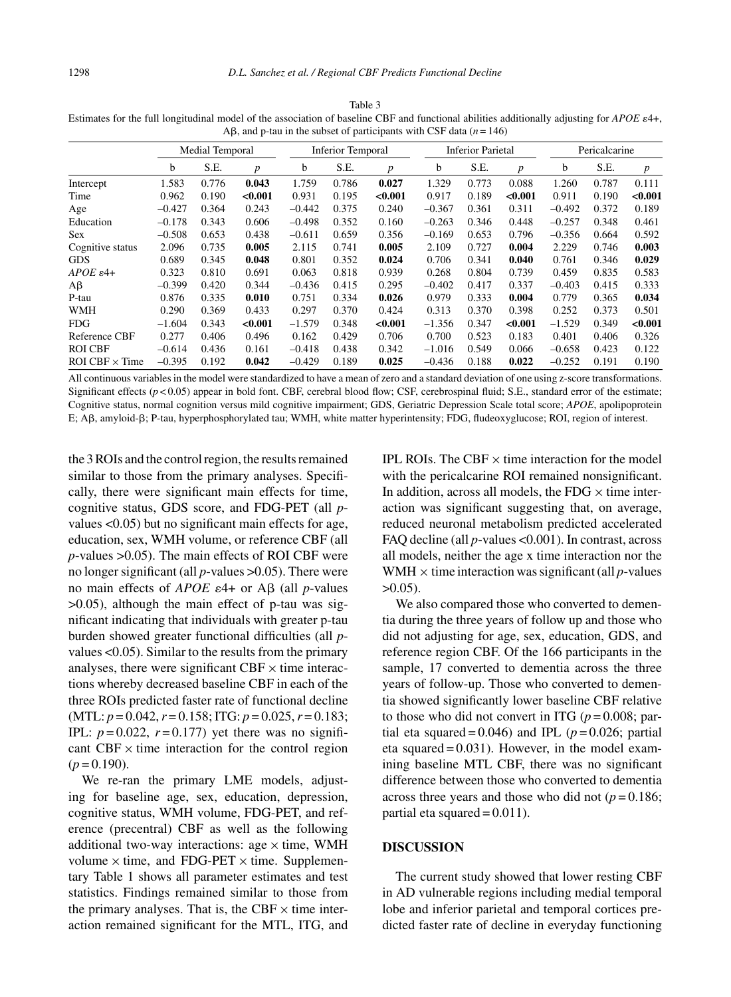| Table 3                                                                                                                                                 |
|---------------------------------------------------------------------------------------------------------------------------------------------------------|
| Estimates for the full longitudinal model of the association of baseline CBF and functional abilities additionally adjusting for APOE $\varepsilon$ 4+. |
| AB, and p-tau in the subset of participants with CSF data $(n = 146)$                                                                                   |

|                       | <b>Medial Temporal</b> |       |         | <b>Inferior Temporal</b> |       |                  | <b>Inferior Parietal</b> |       |         | Pericalcarine |       |                  |
|-----------------------|------------------------|-------|---------|--------------------------|-------|------------------|--------------------------|-------|---------|---------------|-------|------------------|
|                       | b                      | S.E.  | p       | b                        | S.E.  | $\boldsymbol{p}$ | b                        | S.E.  | p       | b             | S.E.  | $\boldsymbol{p}$ |
| Intercept             | 1.583                  | 0.776 | 0.043   | 1.759                    | 0.786 | 0.027            | 1.329                    | 0.773 | 0.088   | 1.260         | 0.787 | 0.111            |
| Time                  | 0.962                  | 0.190 | < 0.001 | 0.931                    | 0.195 | < 0.001          | 0.917                    | 0.189 | < 0.001 | 0.911         | 0.190 | < 0.001          |
| Age                   | $-0.427$               | 0.364 | 0.243   | $-0.442$                 | 0.375 | 0.240            | $-0.367$                 | 0.361 | 0.311   | $-0.492$      | 0.372 | 0.189            |
| Education             | $-0.178$               | 0.343 | 0.606   | $-0.498$                 | 0.352 | 0.160            | $-0.263$                 | 0.346 | 0.448   | $-0.257$      | 0.348 | 0.461            |
| <b>Sex</b>            | $-0.508$               | 0.653 | 0.438   | $-0.611$                 | 0.659 | 0.356            | $-0.169$                 | 0.653 | 0.796   | $-0.356$      | 0.664 | 0.592            |
| Cognitive status      | 2.096                  | 0.735 | 0.005   | 2.115                    | 0.741 | 0.005            | 2.109                    | 0.727 | 0.004   | 2.229         | 0.746 | 0.003            |
| <b>GDS</b>            | 0.689                  | 0.345 | 0.048   | 0.801                    | 0.352 | 0.024            | 0.706                    | 0.341 | 0.040   | 0.761         | 0.346 | 0.029            |
| $APOE \epsilon 4+$    | 0.323                  | 0.810 | 0.691   | 0.063                    | 0.818 | 0.939            | 0.268                    | 0.804 | 0.739   | 0.459         | 0.835 | 0.583            |
| Aβ                    | $-0.399$               | 0.420 | 0.344   | $-0.436$                 | 0.415 | 0.295            | $-0.402$                 | 0.417 | 0.337   | $-0.403$      | 0.415 | 0.333            |
| P-tau                 | 0.876                  | 0.335 | 0.010   | 0.751                    | 0.334 | 0.026            | 0.979                    | 0.333 | 0.004   | 0.779         | 0.365 | 0.034            |
| <b>WMH</b>            | 0.290                  | 0.369 | 0.433   | 0.297                    | 0.370 | 0.424            | 0.313                    | 0.370 | 0.398   | 0.252         | 0.373 | 0.501            |
| <b>FDG</b>            | $-1.604$               | 0.343 | < 0.001 | $-1.579$                 | 0.348 | < 0.001          | $-1.356$                 | 0.347 | < 0.001 | $-1.529$      | 0.349 | $0.001$          |
| Reference CBF         | 0.277                  | 0.406 | 0.496   | 0.162                    | 0.429 | 0.706            | 0.700                    | 0.523 | 0.183   | 0.401         | 0.406 | 0.326            |
| <b>ROI CBF</b>        | $-0.614$               | 0.436 | 0.161   | $-0.418$                 | 0.438 | 0.342            | $-1.016$                 | 0.549 | 0.066   | $-0.658$      | 0.423 | 0.122            |
| ROI CBF $\times$ Time | $-0.395$               | 0.192 | 0.042   | $-0.429$                 | 0.189 | 0.025            | $-0.436$                 | 0.188 | 0.022   | $-0.252$      | 0.191 | 0.190            |

All continuous variables in the model were standardized to have a mean of zero and a standard deviation of one using z-score transformations. Significant effects ( $p < 0.05$ ) appear in bold font. CBF, cerebral blood flow; CSF, cerebrospinal fluid; S.E., standard error of the estimate; Cognitive status, normal cognition versus mild cognitive impairment; GDS, Geriatric Depression Scale total score; *APOE*, apolipoprotein E; Aß, amyloid-ß; P-tau, hyperphosphorylated tau; WMH, white matter hyperintensity; FDG, fludeoxyglucose; ROI, region of interest.

the 3 ROIs and the control region, the results remained similar to those from the primary analyses. Specifically, there were significant main effects for time, cognitive status, GDS score, and FDG-PET (all *p*values <0.05) but no significant main effects for age, education, sex, WMH volume, or reference CBF (all *p*-values >0.05). The main effects of ROI CBF were no longer significant (all *p*-values >0.05). There were no main effects of  $APOE$   $\varepsilon$ 4+ or  $\mathbf{A}\beta$  (all *p*-values >0.05), although the main effect of p-tau was significant indicating that individuals with greater p-tau burden showed greater functional difficulties (all *p*values <0.05). Similar to the results from the primary analyses, there were significant CBF  $\times$  time interactions whereby decreased baseline CBF in each of the three ROIs predicted faster rate of functional decline (MTL: *p* = 0.042,*r* = 0.158; ITG: *p* = 0.025,*r* = 0.183; IPL:  $p=0.022$ ,  $r=0.177$ ) yet there was no significant  $CBF \times$  time interaction for the control region  $(p=0.190)$ .

We re-ran the primary LME models, adjusting for baseline age, sex, education, depression, cognitive status, WMH volume, FDG-PET, and reference (precentral) CBF as well as the following additional two-way interactions: age  $\times$  time, WMH volume  $\times$  time, and FDG-PET  $\times$  time. Supplementary Table 1 shows all parameter estimates and test statistics. Findings remained similar to those from the primary analyses. That is, the CBF  $\times$  time interaction remained significant for the MTL, ITG, and IPL ROIs. The CBF  $\times$  time interaction for the model with the pericalcarine ROI remained nonsignificant. In addition, across all models, the FDG  $\times$  time interaction was significant suggesting that, on average, reduced neuronal metabolism predicted accelerated FAQ decline (all *p*-values <0.001). In contrast, across all models, neither the age x time interaction nor the WMH  $\times$  time interaction was significant (all *p*-values  $>0.05$ ).

We also compared those who converted to dementia during the three years of follow up and those who did not adjusting for age, sex, education, GDS, and reference region CBF. Of the 166 participants in the sample, 17 converted to dementia across the three years of follow-up. Those who converted to dementia showed significantly lower baseline CBF relative to those who did not convert in ITG ( $p = 0.008$ ; partial eta squared =  $0.046$ ) and IPL ( $p = 0.026$ ; partial eta squared  $= 0.031$ ). However, in the model examining baseline MTL CBF, there was no significant difference between those who converted to dementia across three years and those who did not  $(p=0.186)$ ; partial eta squared  $= 0.011$ ).

# **DISCUSSION**

The current study showed that lower resting CBF in AD vulnerable regions including medial temporal lobe and inferior parietal and temporal cortices predicted faster rate of decline in everyday functioning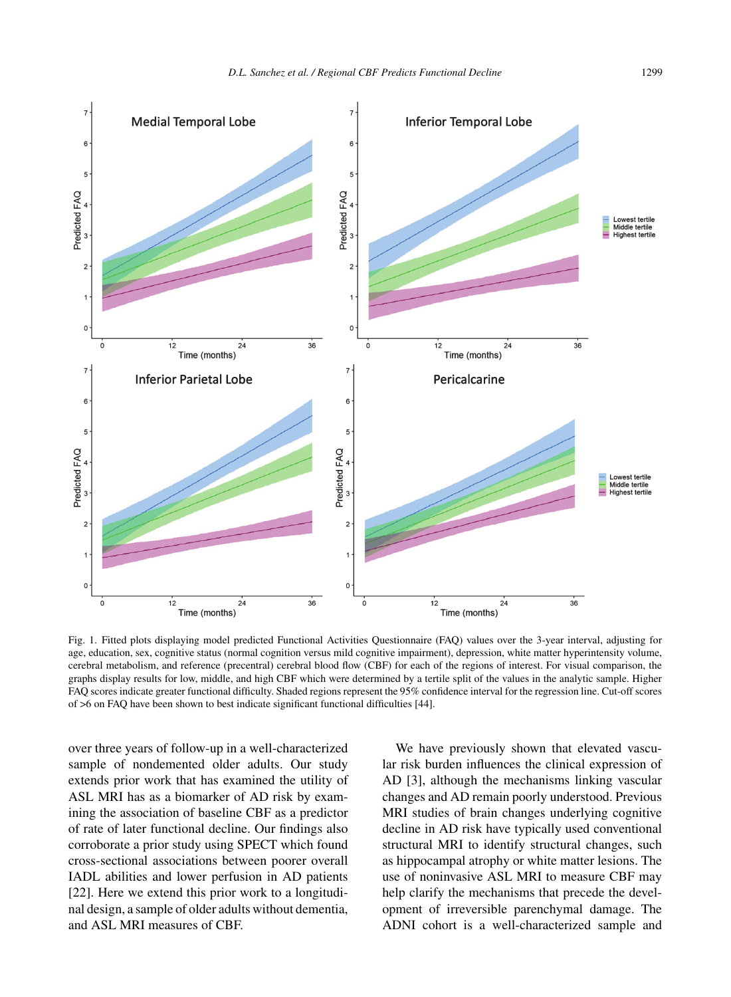

Fig. 1. Fitted plots displaying model predicted Functional Activities Questionnaire (FAQ) values over the 3-year interval, adjusting for age, education, sex, cognitive status (normal cognition versus mild cognitive impairment), depression, white matter hyperintensity volume, cerebral metabolism, and reference (precentral) cerebral blood flow (CBF) for each of the regions of interest. For visual comparison, the graphs display results for low, middle, and high CBF which were determined by a tertile split of the values in the analytic sample. Higher FAQ scores indicate greater functional difficulty. Shaded regions represent the 95% confidence interval for the regression line. Cut-off scores of >6 on FAQ have been shown to best indicate significant functional difficulties [44].

over three years of follow-up in a well-characterized sample of nondemented older adults. Our study extends prior work that has examined the utility of ASL MRI has as a biomarker of AD risk by examining the association of baseline CBF as a predictor of rate of later functional decline. Our findings also corroborate a prior study using SPECT which found cross-sectional associations between poorer overall IADL abilities and lower perfusion in AD patients [22]. Here we extend this prior work to a longitudinal design, a sample of older adults without dementia, and ASL MRI measures of CBF.

We have previously shown that elevated vascular risk burden influences the clinical expression of AD [3], although the mechanisms linking vascular changes and AD remain poorly understood. Previous MRI studies of brain changes underlying cognitive decline in AD risk have typically used conventional structural MRI to identify structural changes, such as hippocampal atrophy or white matter lesions. The use of noninvasive ASL MRI to measure CBF may help clarify the mechanisms that precede the development of irreversible parenchymal damage. The ADNI cohort is a well-characterized sample and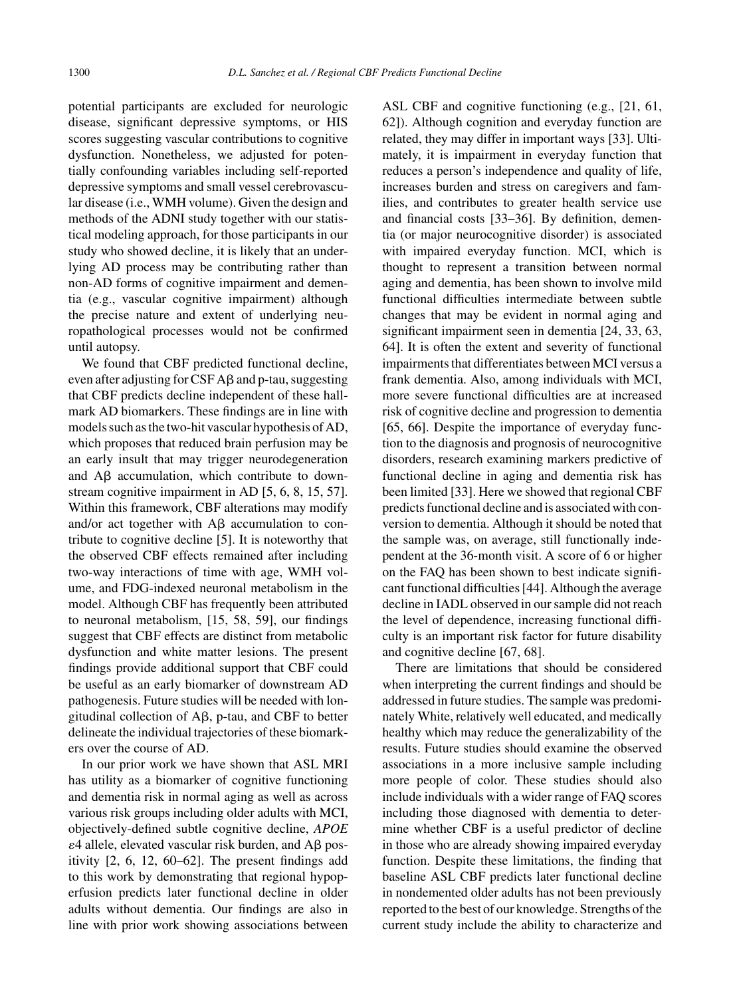potential participants are excluded for neurologic disease, significant depressive symptoms, or HIS scores suggesting vascular contributions to cognitive dysfunction. Nonetheless, we adjusted for potentially confounding variables including self-reported depressive symptoms and small vessel cerebrovascular disease (i.e., WMH volume). Given the design and methods of the ADNI study together with our statistical modeling approach, for those participants in our study who showed decline, it is likely that an underlying AD process may be contributing rather than non-AD forms of cognitive impairment and dementia (e.g., vascular cognitive impairment) although the precise nature and extent of underlying neuropathological processes would not be confirmed until autopsy.

We found that CBF predicted functional decline, even after adjusting for  $CSF$  A $\beta$  and p-tau, suggesting that CBF predicts decline independent of these hallmark AD biomarkers. These findings are in line with models such as the two-hit vascular hypothesis of AD, which proposes that reduced brain perfusion may be an early insult that may trigger neurodegeneration and  $\text{A}\beta$  accumulation, which contribute to downstream cognitive impairment in AD [5, 6, 8, 15, 57]. Within this framework, CBF alterations may modify and/or act together with  $\text{A}\beta$  accumulation to contribute to cognitive decline [5]. It is noteworthy that the observed CBF effects remained after including two-way interactions of time with age, WMH volume, and FDG-indexed neuronal metabolism in the model. Although CBF has frequently been attributed to neuronal metabolism, [15, 58, 59], our findings suggest that CBF effects are distinct from metabolic dysfunction and white matter lesions. The present findings provide additional support that CBF could be useful as an early biomarker of downstream AD pathogenesis. Future studies will be needed with longitudinal collection of  $A\beta$ , p-tau, and CBF to better delineate the individual trajectories of these biomarkers over the course of AD.

In our prior work we have shown that ASL MRI has utility as a biomarker of cognitive functioning and dementia risk in normal aging as well as across various risk groups including older adults with MCI, objectively-defined subtle cognitive decline, *APOE*  $\varepsilon$ 4 allele, elevated vascular risk burden, and A $\beta$  positivity [2, 6, 12, 60–62]. The present findings add to this work by demonstrating that regional hypoperfusion predicts later functional decline in older adults without dementia. Our findings are also in line with prior work showing associations between ASL CBF and cognitive functioning (e.g., [21, 61, 62]). Although cognition and everyday function are related, they may differ in important ways [33]. Ultimately, it is impairment in everyday function that reduces a person's independence and quality of life, increases burden and stress on caregivers and families, and contributes to greater health service use and financial costs [33–36]. By definition, dementia (or major neurocognitive disorder) is associated with impaired everyday function. MCI, which is thought to represent a transition between normal aging and dementia, has been shown to involve mild functional difficulties intermediate between subtle changes that may be evident in normal aging and significant impairment seen in dementia [24, 33, 63, 64]. It is often the extent and severity of functional impairments that differentiates between MCI versus a frank dementia. Also, among individuals with MCI, more severe functional difficulties are at increased risk of cognitive decline and progression to dementia [65, 66]. Despite the importance of everyday function to the diagnosis and prognosis of neurocognitive disorders, research examining markers predictive of functional decline in aging and dementia risk has been limited [33]. Here we showed that regional CBF predicts functional decline and is associated with conversion to dementia. Although it should be noted that the sample was, on average, still functionally independent at the 36-month visit. A score of 6 or higher on the FAQ has been shown to best indicate significant functional difficulties [44]. Although the average decline in IADL observed in our sample did not reach the level of dependence, increasing functional difficulty is an important risk factor for future disability and cognitive decline [67, 68].

There are limitations that should be considered when interpreting the current findings and should be addressed in future studies. The sample was predominately White, relatively well educated, and medically healthy which may reduce the generalizability of the results. Future studies should examine the observed associations in a more inclusive sample including more people of color. These studies should also include individuals with a wider range of FAQ scores including those diagnosed with dementia to determine whether CBF is a useful predictor of decline in those who are already showing impaired everyday function. Despite these limitations, the finding that baseline ASL CBF predicts later functional decline in nondemented older adults has not been previously reported to the best of our knowledge. Strengths of the current study include the ability to characterize and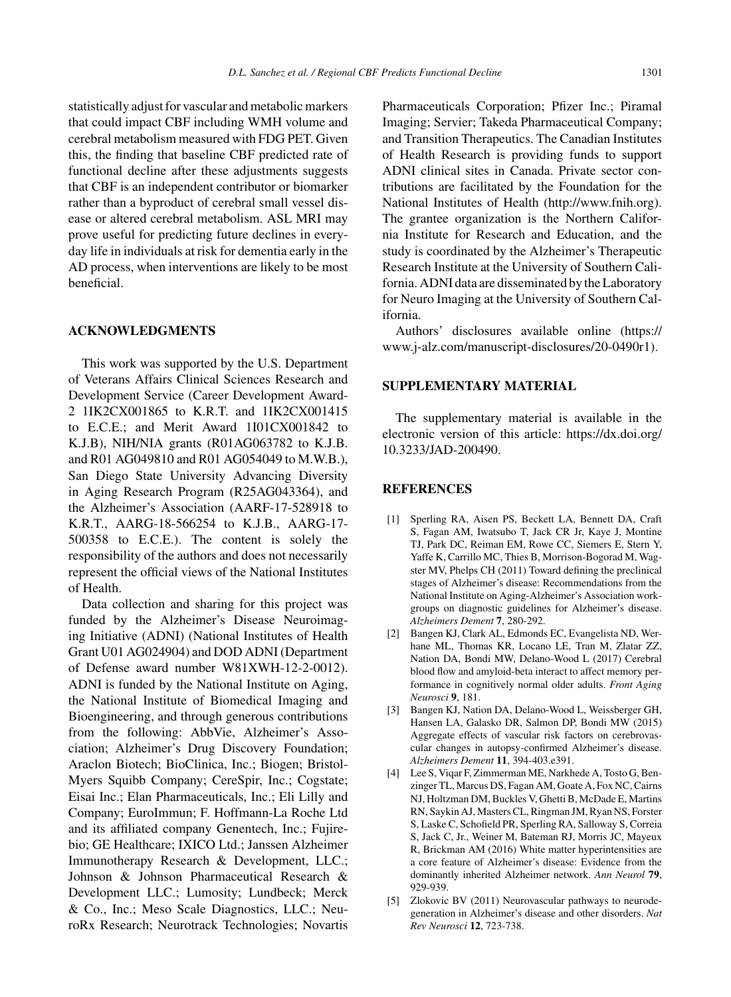statistically adjust for vascular and metabolic markers that could impact CBF including WMH volume and cerebral metabolism measured with FDG PET. Given this, the finding that baseline CBF predicted rate of functional decline after these adjustments suggests that CBF is an independent contributor or biomarker rather than a byproduct of cerebral small vessel disease or altered cerebral metabolism. ASL MRI may prove useful for predicting future declines in everyday life in individuals at risk for dementia early in the AD process, when interventions are likely to be most beneficial.

#### **ACKNOWLEDGMENTS**

This work was supported by the U.S. Department of Veterans Affairs Clinical Sciences Research and Development Service (Career Development Award-2 1IK2CX001865 to K.R.T. and 1IK2CX001415 to E.C.E.; and Merit Award 1I01CX001842 to K.J.B), NIH/NIA grants (R01AG063782 to K.J.B. and R01 AG049810 and R01 AG054049 to M.W.B.), San Diego State University Advancing Diversity in Aging Research Program (R25AG043364), and the Alzheimer's Association (AARF-17-528918 to K.R.T., AARG-18-566254 to K.J.B., AARG-17- 500358 to E.C.E.). The content is solely the responsibility of the authors and does not necessarily represent the official views of the National Institutes of Health.

Data collection and sharing for this project was funded by the Alzheimer's Disease Neuroimaging Initiative (ADNI) (National Institutes of Health Grant U01 AG024904) and DOD ADNI (Department of Defense award number W81XWH-12-2-0012). ADNI is funded by the National Institute on Aging, the National Institute of Biomedical Imaging and Bioengineering, and through generous contributions from the following: AbbVie, Alzheimer's Association; Alzheimer's Drug Discovery Foundation; Araclon Biotech; BioClinica, Inc.; Biogen; Bristol-Myers Squibb Company; CereSpir, Inc.; Cogstate; Eisai Inc.; Elan Pharmaceuticals, Inc.; Eli Lilly and Company; EuroImmun; F. Hoffmann-La Roche Ltd and its affiliated company Genentech, Inc.; Fujirebio; GE Healthcare; IXICO Ltd.; Janssen Alzheimer Immunotherapy Research & Development, LLC.; Johnson & Johnson Pharmaceutical Research & Development LLC.; Lumosity; Lundbeck; Merck & Co., Inc.; Meso Scale Diagnostics, LLC.; NeuroRx Research; Neurotrack Technologies; Novartis

Pharmaceuticals Corporation; Pfizer Inc.; Piramal Imaging; Servier; Takeda Pharmaceutical Company; and Transition Therapeutics. The Canadian Institutes of Health Research is providing funds to support ADNI clinical sites in Canada. Private sector contributions are facilitated by the Foundation for the National Institutes of Health [\(http://www.fnih.org](http://www.fnih.org)). The grantee organization is the Northern California Institute for Research and Education, and the study is coordinated by the Alzheimer's Therapeutic Research Institute at the University of Southern California. ADNI data are disseminated by the Laboratory for Neuro Imaging at the University of Southern California.

Authors' disclosures available online [\(https://](https://www.j-alz.com/manuscript-disclosures/20-0490r1) [www.j-alz.com/manuscript-disclosures/20-0490r1\)](https://www.j-alz.com/manuscript-disclosures/20-0490r1).

# **SUPPLEMENTARY MATERIAL**

The supplementary material is available in the electronic version of this article: [https://dx.doi.org/](https://dx.doi.org/10.3233/JAD-200490) [10.3233/JAD-200490.](https://dx.doi.org/10.3233/JAD-200490)

# **REFERENCES**

- [1] Sperling RA, Aisen PS, Beckett LA, Bennett DA, Craft S, Fagan AM, Iwatsubo T, Jack CR Jr, Kaye J, Montine TJ, Park DC, Reiman EM, Rowe CC, Siemers E, Stern Y, Yaffe K, Carrillo MC, Thies B, Morrison-Bogorad M, Wagster MV, Phelps CH (2011) Toward defining the preclinical stages of Alzheimer's disease: Recommendations from the National Institute on Aging-Alzheimer's Association workgroups on diagnostic guidelines for Alzheimer's disease. *Alzheimers Dement* **7**, 280-292.
- [2] Bangen KJ, Clark AL, Edmonds EC, Evangelista ND, Werhane ML, Thomas KR, Locano LE, Tran M, Zlatar ZZ, Nation DA, Bondi MW, Delano-Wood L (2017) Cerebral blood flow and amyloid-beta interact to affect memory performance in cognitively normal older adults. *Front Aging Neurosci* **9**, 181.
- [3] Bangen KJ, Nation DA, Delano-Wood L, Weissberger GH, Hansen LA, Galasko DR, Salmon DP, Bondi MW (2015) Aggregate effects of vascular risk factors on cerebrovascular changes in autopsy-confirmed Alzheimer's disease. *Alzheimers Dement* **11**, 394-403.e391.
- [4] Lee S, Viqar F, Zimmerman ME, Narkhede A, Tosto G, Benzinger TL, Marcus DS, Fagan AM, Goate A, Fox NC, Cairns NJ, Holtzman DM, Buckles V, Ghetti B, McDade E, Martins RN, Saykin AJ, Masters CL, Ringman JM, Ryan NS, Forster S, Laske C, Schofield PR, Sperling RA, Salloway S, Correia S, Jack C, Jr., Weiner M, Bateman RJ, Morris JC, Mayeux R, Brickman AM (2016) White matter hyperintensities are a core feature of Alzheimer's disease: Evidence from the dominantly inherited Alzheimer network. *Ann Neurol* **79**, 929-939.
- [5] Zlokovic BV (2011) Neurovascular pathways to neurodegeneration in Alzheimer's disease and other disorders. *Nat Rev Neurosci* **12**, 723-738.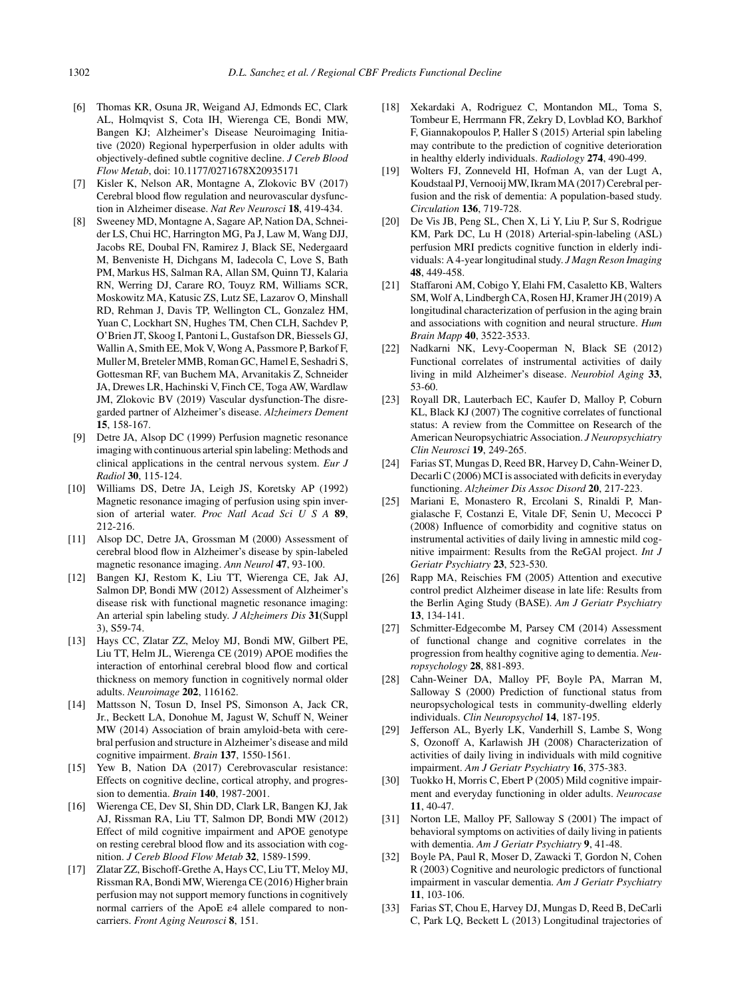- [6] Thomas KR, Osuna JR, Weigand AJ, Edmonds EC, Clark AL, Holmqvist S, Cota IH, Wierenga CE, Bondi MW, Bangen KJ; Alzheimer's Disease Neuroimaging Initiative (2020) Regional hyperperfusion in older adults with objectively-defined subtle cognitive decline. *J Cereb Blood Flow Metab*, doi: 10.1177/0271678X20935171
- [7] Kisler K, Nelson AR, Montagne A, Zlokovic BV (2017) Cerebral blood flow regulation and neurovascular dysfunction in Alzheimer disease. *Nat Rev Neurosci* **18**, 419-434.
- Sweeney MD, Montagne A, Sagare AP, Nation DA, Schneider LS, Chui HC, Harrington MG, Pa J, Law M, Wang DJJ, Jacobs RE, Doubal FN, Ramirez J, Black SE, Nedergaard M, Benveniste H, Dichgans M, Iadecola C, Love S, Bath PM, Markus HS, Salman RA, Allan SM, Quinn TJ, Kalaria RN, Werring DJ, Carare RO, Touyz RM, Williams SCR, Moskowitz MA, Katusic ZS, Lutz SE, Lazarov O, Minshall RD, Rehman J, Davis TP, Wellington CL, Gonzalez HM, Yuan C, Lockhart SN, Hughes TM, Chen CLH, Sachdev P, O'Brien JT, Skoog I, Pantoni L, Gustafson DR, Biessels GJ, Wallin A, Smith EE, Mok V, Wong A, Passmore P, Barkof F, Muller M, Breteler MMB, Roman GC, Hamel E, Seshadri S, Gottesman RF, van Buchem MA, Arvanitakis Z, Schneider JA, Drewes LR, Hachinski V, Finch CE, Toga AW, Wardlaw JM, Zlokovic BV (2019) Vascular dysfunction-The disregarded partner of Alzheimer's disease. *Alzheimers Dement* **15**, 158-167.
- [9] Detre JA, Alsop DC (1999) Perfusion magnetic resonance imaging with continuous arterial spin labeling: Methods and clinical applications in the central nervous system. *Eur J Radiol* **30**, 115-124.
- [10] Williams DS, Detre JA, Leigh JS, Koretsky AP (1992) Magnetic resonance imaging of perfusion using spin inversion of arterial water. *Proc Natl Acad Sci U S A* **89**, 212-216.
- [11] Alsop DC, Detre JA, Grossman M (2000) Assessment of cerebral blood flow in Alzheimer's disease by spin-labeled magnetic resonance imaging. *Ann Neurol* **47**, 93-100.
- [12] Bangen KJ, Restom K, Liu TT, Wierenga CE, Jak AJ, Salmon DP, Bondi MW (2012) Assessment of Alzheimer's disease risk with functional magnetic resonance imaging: An arterial spin labeling study. *J Alzheimers Dis* **31**(Suppl 3), S59-74.
- [13] Hays CC, Zlatar ZZ, Meloy MJ, Bondi MW, Gilbert PE, Liu TT, Helm JL, Wierenga CE (2019) APOE modifies the interaction of entorhinal cerebral blood flow and cortical thickness on memory function in cognitively normal older adults. *Neuroimage* **202**, 116162.
- [14] Mattsson N, Tosun D, Insel PS, Simonson A, Jack CR, Jr., Beckett LA, Donohue M, Jagust W, Schuff N, Weiner MW (2014) Association of brain amyloid-beta with cerebral perfusion and structure in Alzheimer's disease and mild cognitive impairment. *Brain* **137**, 1550-1561.
- [15] Yew B, Nation DA (2017) Cerebrovascular resistance: Effects on cognitive decline, cortical atrophy, and progression to dementia. *Brain* **140**, 1987-2001.
- [16] Wierenga CE, Dev SI, Shin DD, Clark LR, Bangen KJ, Jak AJ, Rissman RA, Liu TT, Salmon DP, Bondi MW (2012) Effect of mild cognitive impairment and APOE genotype on resting cerebral blood flow and its association with cognition. *J Cereb Blood Flow Metab* **32**, 1589-1599.
- [17] Zlatar ZZ, Bischoff-Grethe A, Hays CC, Liu TT, Meloy MJ, Rissman RA, Bondi MW, Wierenga CE (2016) Higher brain perfusion may not support memory functions in cognitively normal carriers of the ApoE  $\varepsilon$ 4 allele compared to noncarriers. *Front Aging Neurosci* **8**, 151.
- [18] Xekardaki A, Rodriguez C, Montandon ML, Toma S, Tombeur E, Herrmann FR, Zekry D, Lovblad KO, Barkhof F, Giannakopoulos P, Haller S (2015) Arterial spin labeling may contribute to the prediction of cognitive deterioration in healthy elderly individuals. *Radiology* **274**, 490-499.
- [19] Wolters FJ, Zonneveld HI, Hofman A, van der Lugt A, Koudstaal PJ, Vernooij MW, Ikram MA (2017) Cerebral perfusion and the risk of dementia: A population-based study. *Circulation* **136**, 719-728.
- [20] De Vis JB, Peng SL, Chen X, Li Y, Liu P, Sur S, Rodrigue KM, Park DC, Lu H (2018) Arterial-spin-labeling (ASL) perfusion MRI predicts cognitive function in elderly individuals: A 4-year longitudinal study. *J Magn Reson Imaging* **48**, 449-458.
- [21] Staffaroni AM, Cobigo Y, Elahi FM, Casaletto KB, Walters SM, Wolf A, Lindbergh CA, Rosen HJ, Kramer JH (2019) A longitudinal characterization of perfusion in the aging brain and associations with cognition and neural structure. *Hum Brain Mapp* **40**, 3522-3533.
- [22] Nadkarni NK, Levy-Cooperman N, Black SE (2012) Functional correlates of instrumental activities of daily living in mild Alzheimer's disease. *Neurobiol Aging* **33**, 53-60.
- [23] Royall DR, Lauterbach EC, Kaufer D, Malloy P, Coburn KL, Black KJ (2007) The cognitive correlates of functional status: A review from the Committee on Research of the American Neuropsychiatric Association. *J Neuropsychiatry Clin Neurosci* **19**, 249-265.
- [24] Farias ST, Mungas D, Reed BR, Harvey D, Cahn-Weiner D, Decarli C (2006) MCI is associated with deficits in everyday functioning. *Alzheimer Dis Assoc Disord* **20**, 217-223.
- [25] Mariani E, Monastero R, Ercolani S, Rinaldi P, Mangialasche F, Costanzi E, Vitale DF, Senin U, Mecocci P (2008) Influence of comorbidity and cognitive status on instrumental activities of daily living in amnestic mild cognitive impairment: Results from the ReGAl project. *Int J Geriatr Psychiatry* **23**, 523-530.
- [26] Rapp MA, Reischies FM (2005) Attention and executive control predict Alzheimer disease in late life: Results from the Berlin Aging Study (BASE). *Am J Geriatr Psychiatry* **13**, 134-141.
- [27] Schmitter-Edgecombe M, Parsey CM (2014) Assessment of functional change and cognitive correlates in the progression from healthy cognitive aging to dementia. *Neuropsychology* **28**, 881-893.
- [28] Cahn-Weiner DA, Malloy PF, Boyle PA, Marran M, Salloway S (2000) Prediction of functional status from neuropsychological tests in community-dwelling elderly individuals. *Clin Neuropsychol* **14**, 187-195.
- [29] Jefferson AL, Byerly LK, Vanderhill S, Lambe S, Wong S, Ozonoff A, Karlawish JH (2008) Characterization of activities of daily living in individuals with mild cognitive impairment. *Am J Geriatr Psychiatry* **16**, 375-383.
- [30] Tuokko H, Morris C, Ebert P (2005) Mild cognitive impairment and everyday functioning in older adults. *Neurocase* **11**, 40-47.
- [31] Norton LE, Malloy PF, Salloway S (2001) The impact of behavioral symptoms on activities of daily living in patients with dementia. *Am J Geriatr Psychiatry* **9**, 41-48.
- [32] Boyle PA, Paul R, Moser D, Zawacki T, Gordon N, Cohen R (2003) Cognitive and neurologic predictors of functional impairment in vascular dementia. *Am J Geriatr Psychiatry* **11**, 103-106.
- [33] Farias ST, Chou E, Harvey DJ, Mungas D, Reed B, DeCarli C, Park LQ, Beckett L (2013) Longitudinal trajectories of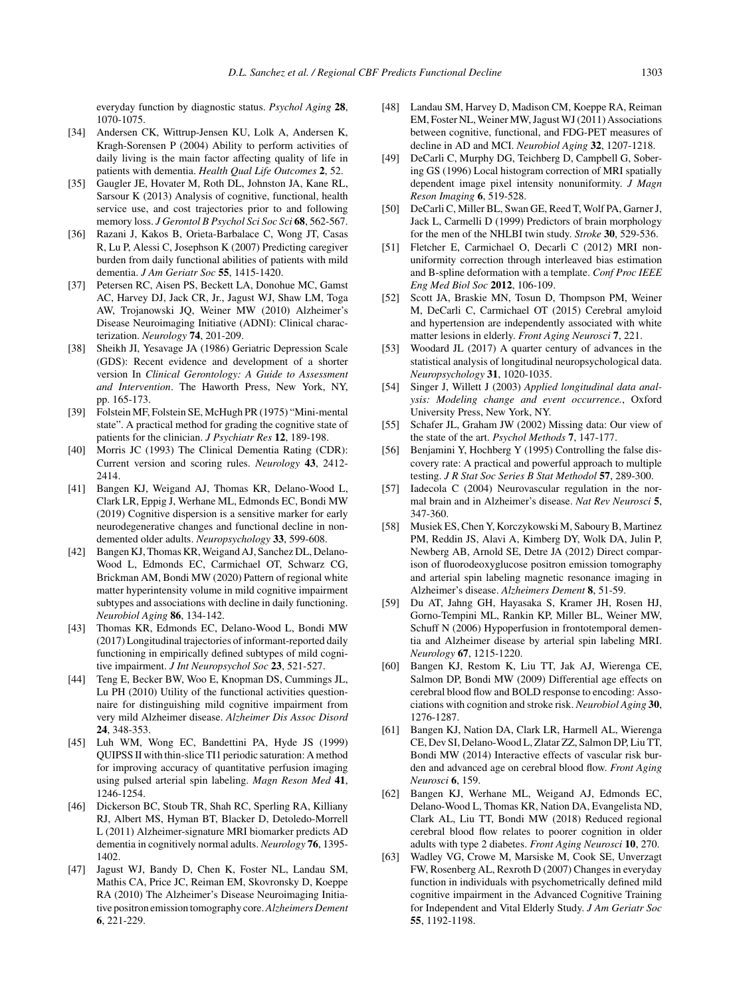everyday function by diagnostic status. *Psychol Aging* **28**, 1070-1075.

- [34] Andersen CK, Wittrup-Jensen KU, Lolk A, Andersen K, Kragh-Sorensen P (2004) Ability to perform activities of daily living is the main factor affecting quality of life in patients with dementia. *Health Qual Life Outcomes* **2**, 52.
- [35] Gaugler JE, Hovater M, Roth DL, Johnston JA, Kane RL, Sarsour K (2013) Analysis of cognitive, functional, health service use, and cost trajectories prior to and following memory loss. *J Gerontol B Psychol Sci Soc Sci* **68**, 562-567.
- [36] Razani J, Kakos B, Orieta-Barbalace C, Wong JT, Casas R, Lu P, Alessi C, Josephson K (2007) Predicting caregiver burden from daily functional abilities of patients with mild dementia. *J Am Geriatr Soc* **55**, 1415-1420.
- [37] Petersen RC, Aisen PS, Beckett LA, Donohue MC, Gamst AC, Harvey DJ, Jack CR, Jr., Jagust WJ, Shaw LM, Toga AW, Trojanowski JQ, Weiner MW (2010) Alzheimer's Disease Neuroimaging Initiative (ADNI): Clinical characterization. *Neurology* **74**, 201-209.
- [38] Sheikh JI, Yesavage JA (1986) Geriatric Depression Scale (GDS): Recent evidence and development of a shorter version In *Clinical Gerontology: A Guide to Assessment and Intervention*. The Haworth Press, New York, NY, pp. 165-173.
- [39] Folstein MF, Folstein SE, McHugh PR (1975) "Mini-mental state". A practical method for grading the cognitive state of patients for the clinician. *J Psychiatr Res* **12**, 189-198.
- [40] Morris JC (1993) The Clinical Dementia Rating (CDR): Current version and scoring rules. *Neurology* **43**, 2412- 2414.
- [41] Bangen KJ, Weigand AJ, Thomas KR, Delano-Wood L, Clark LR, Eppig J, Werhane ML, Edmonds EC, Bondi MW (2019) Cognitive dispersion is a sensitive marker for early neurodegenerative changes and functional decline in nondemented older adults. *Neuropsychology* **33**, 599-608.
- [42] Bangen KJ, Thomas KR, Weigand AJ, Sanchez DL, Delano-Wood L, Edmonds EC, Carmichael OT, Schwarz CG, Brickman AM, Bondi MW (2020) Pattern of regional white matter hyperintensity volume in mild cognitive impairment subtypes and associations with decline in daily functioning. *Neurobiol Aging* **86**, 134-142.
- [43] Thomas KR, Edmonds EC, Delano-Wood L, Bondi MW (2017) Longitudinal trajectories of informant-reported daily functioning in empirically defined subtypes of mild cognitive impairment. *J Int Neuropsychol Soc* **23**, 521-527.
- [44] Teng E, Becker BW, Woo E, Knopman DS, Cummings JL, Lu PH (2010) Utility of the functional activities questionnaire for distinguishing mild cognitive impairment from very mild Alzheimer disease. *Alzheimer Dis Assoc Disord* **24**, 348-353.
- [45] Luh WM, Wong EC, Bandettini PA, Hyde JS (1999) QUIPSS II with thin-slice TI1 periodic saturation: A method for improving accuracy of quantitative perfusion imaging using pulsed arterial spin labeling. *Magn Reson Med* **41**, 1246-1254.
- [46] Dickerson BC, Stoub TR, Shah RC, Sperling RA, Killiany RJ, Albert MS, Hyman BT, Blacker D, Detoledo-Morrell L (2011) Alzheimer-signature MRI biomarker predicts AD dementia in cognitively normal adults. *Neurology* **76**, 1395- 1402.
- [47] Jagust WJ, Bandy D, Chen K, Foster NL, Landau SM, Mathis CA, Price JC, Reiman EM, Skovronsky D, Koeppe RA (2010) The Alzheimer's Disease Neuroimaging Initiative positron emission tomography core.*Alzheimers Dement* **6**, 221-229.
- [48] Landau SM, Harvey D, Madison CM, Koeppe RA, Reiman EM, Foster NL, Weiner MW, Jagust WJ (2011) Associations between cognitive, functional, and FDG-PET measures of decline in AD and MCI. *Neurobiol Aging* **32**, 1207-1218.
- [49] DeCarli C, Murphy DG, Teichberg D, Campbell G, Sobering GS (1996) Local histogram correction of MRI spatially dependent image pixel intensity nonuniformity. *J Magn Reson Imaging* **6**, 519-528.
- [50] DeCarli C, Miller BL, Swan GE, Reed T, Wolf PA, Garner J, Jack L, Carmelli D (1999) Predictors of brain morphology for the men of the NHLBI twin study. *Stroke* **30**, 529-536.
- [51] Fletcher E, Carmichael O, Decarli C (2012) MRI nonuniformity correction through interleaved bias estimation and B-spline deformation with a template. *Conf Proc IEEE Eng Med Biol Soc* **2012**, 106-109.
- [52] Scott JA, Braskie MN, Tosun D, Thompson PM, Weiner M, DeCarli C, Carmichael OT (2015) Cerebral amyloid and hypertension are independently associated with white matter lesions in elderly. *Front Aging Neurosci* **7**, 221.
- [53] Woodard JL (2017) A quarter century of advances in the statistical analysis of longitudinal neuropsychological data. *Neuropsychology* **31**, 1020-1035.
- [54] Singer J, Willett J (2003) *Applied longitudinal data analysis: Modeling change and event occurrence.*, Oxford University Press, New York, NY.
- [55] Schafer JL, Graham JW (2002) Missing data: Our view of the state of the art. *Psychol Methods* **7**, 147-177.
- [56] Benjamini Y, Hochberg Y (1995) Controlling the false discovery rate: A practical and powerful approach to multiple testing. *J R Stat Soc Series B Stat Methodol* **57**, 289-300.
- [57] Iadecola C (2004) Neurovascular regulation in the normal brain and in Alzheimer's disease. *Nat Rev Neurosci* **5**, 347-360.
- [58] Musiek ES, Chen Y, Korczykowski M, Saboury B, Martinez PM, Reddin JS, Alavi A, Kimberg DY, Wolk DA, Julin P, Newberg AB, Arnold SE, Detre JA (2012) Direct comparison of fluorodeoxyglucose positron emission tomography and arterial spin labeling magnetic resonance imaging in Alzheimer's disease. *Alzheimers Dement* **8**, 51-59.
- [59] Du AT, Jahng GH, Hayasaka S, Kramer JH, Rosen HJ, Gorno-Tempini ML, Rankin KP, Miller BL, Weiner MW, Schuff N (2006) Hypoperfusion in frontotemporal dementia and Alzheimer disease by arterial spin labeling MRI. *Neurology* **67**, 1215-1220.
- [60] Bangen KJ, Restom K, Liu TT, Jak AJ, Wierenga CE, Salmon DP, Bondi MW (2009) Differential age effects on cerebral blood flow and BOLD response to encoding: Associations with cognition and stroke risk. *Neurobiol Aging* **30**, 1276-1287.
- [61] Bangen KJ, Nation DA, Clark LR, Harmell AL, Wierenga CE, Dev SI, Delano-Wood L, Zlatar ZZ, Salmon DP, Liu TT, Bondi MW (2014) Interactive effects of vascular risk burden and advanced age on cerebral blood flow. *Front Aging Neurosci* **6**, 159.
- [62] Bangen KJ, Werhane ML, Weigand AJ, Edmonds EC, Delano-Wood L, Thomas KR, Nation DA, Evangelista ND, Clark AL, Liu TT, Bondi MW (2018) Reduced regional cerebral blood flow relates to poorer cognition in older adults with type 2 diabetes. *Front Aging Neurosci* **10**, 270.
- [63] Wadley VG, Crowe M, Marsiske M, Cook SE, Unverzagt FW, Rosenberg AL, Rexroth D (2007) Changes in everyday function in individuals with psychometrically defined mild cognitive impairment in the Advanced Cognitive Training for Independent and Vital Elderly Study. *J Am Geriatr Soc* **55**, 1192-1198.